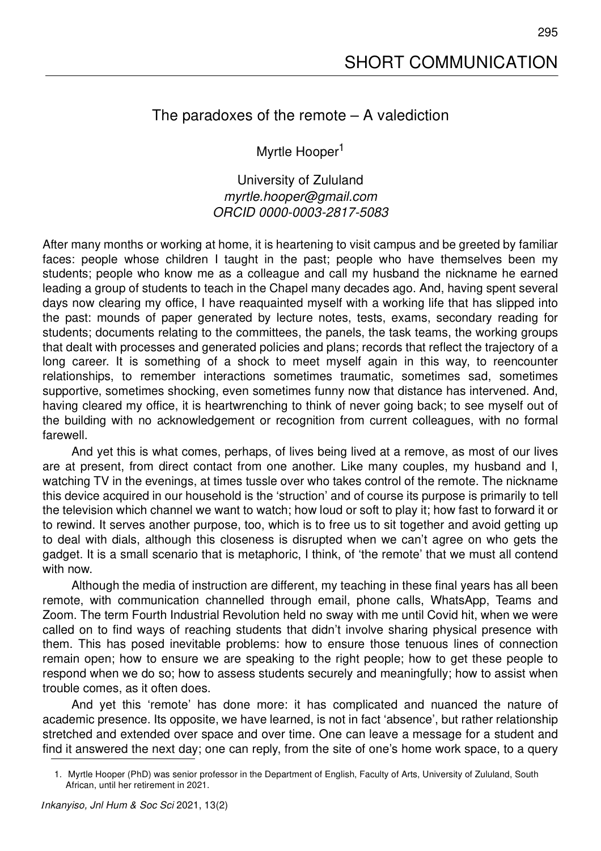## The paradoxes of the remote – A valediction

Myrtle Hooper<sup>1</sup>

University of Zululand *myrtle.hooper@gmail.com ORCID 0000-0003-2817-5083*

After many months or working at home, it is heartening to visit campus and be greeted by familiar faces: people whose children I taught in the past; people who have themselves been my students; people who know me as a colleague and call my husband the nickname he earned leading a group of students to teach in the Chapel many decades ago. And, having spent several days now clearing my office, I have reaquainted myself with a working life that has slipped into the past: mounds of paper generated by lecture notes, tests, exams, secondary reading for students; documents relating to the committees, the panels, the task teams, the working groups that dealt with processes and generated policies and plans; records that reflect the trajectory of a long career. It is something of a shock to meet myself again in this way, to reencounter relationships, to remember interactions sometimes traumatic, sometimes sad, sometimes supportive, sometimes shocking, even sometimes funny now that distance has intervened. And, having cleared my office, it is heartwrenching to think of never going back; to see myself out of the building with no acknowledgement or recognition from current colleagues, with no formal farewell.

And yet this is what comes, perhaps, of lives being lived at a remove, as most of our lives are at present, from direct contact from one another. Like many couples, my husband and I, watching TV in the evenings, at times tussle over who takes control of the remote. The nickname this device acquired in our household is the 'struction' and of course its purpose is primarily to tell the television which channel we want to watch; how loud or soft to play it; how fast to forward it or to rewind. It serves another purpose, too, which is to free us to sit together and avoid getting up to deal with dials, although this closeness is disrupted when we can't agree on who gets the gadget. It is a small scenario that is metaphoric, I think, of 'the remote' that we must all contend with now.

Although the media of instruction are different, my teaching in these final years has all been remote, with communication channelled through email, phone calls, WhatsApp, Teams and Zoom. The term Fourth Industrial Revolution held no sway with me until Covid hit, when we were called on to find ways of reaching students that didn't involve sharing physical presence with them. This has posed inevitable problems: how to ensure those tenuous lines of connection remain open; how to ensure we are speaking to the right people; how to get these people to respond when we do so; how to assess students securely and meaningfully; how to assist when trouble comes, as it often does.

And yet this 'remote' has done more: it has complicated and nuanced the nature of academic presence. Its opposite, we have learned, is not in fact 'absence', but rather relationship stretched and extended over space and over time. One can leave a message for a student and find it answered the next day; one can reply, from the site of one's home work space, to a query

<sup>1.</sup> Myrtle Hooper (PhD) was senior professor in the Department of English, Faculty of Arts, University of Zululand, South African, until her retirement in 2021.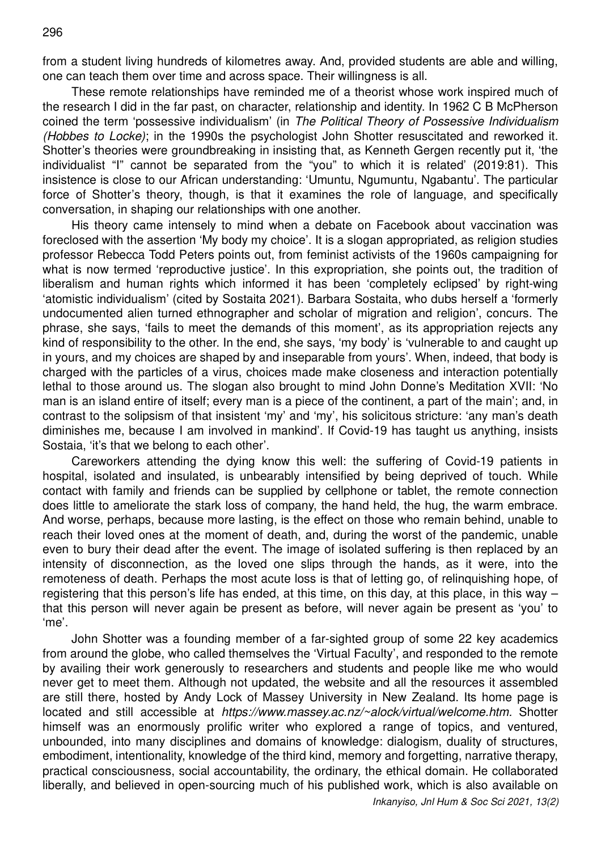from a student living hundreds of kilometres away. And, provided students are able and willing, one can teach them over time and across space. Their willingness is all.

These remote relationships have reminded me of a theorist whose work inspired much of the research I did in the far past, on character, relationship and identity. In 1962 C B McPherson coined the term 'possessive individualism' (in *The Political Theory of Possessive Individualism (Hobbes to Locke)*; in the 1990s the psychologist John Shotter resuscitated and reworked it. Shotter's theories were groundbreaking in insisting that, as Kenneth Gergen recently put it, 'the individualist "I" cannot be separated from the "you" to which it is related' (2019:81). This insistence is close to our African understanding: 'Umuntu, Ngumuntu, Ngabantu'. The particular force of Shotter's theory, though, is that it examines the role of language, and specifically conversation, in shaping our relationships with one another.

His theory came intensely to mind when a debate on Facebook about vaccination was foreclosed with the assertion 'My body my choice'. It is a slogan appropriated, as religion studies professor Rebecca Todd Peters points out, from feminist activists of the 1960s campaigning for what is now termed 'reproductive justice'. In this expropriation, she points out, the tradition of liberalism and human rights which informed it has been 'completely eclipsed' by right-wing 'atomistic individualism' (cited by Sostaita 2021). Barbara Sostaita, who dubs herself a 'formerly undocumented alien turned ethnographer and scholar of migration and religion', concurs. The phrase, she says, 'fails to meet the demands of this moment', as its appropriation rejects any kind of responsibility to the other. In the end, she says, 'my body' is 'vulnerable to and caught up in yours, and my choices are shaped by and inseparable from yours'. When, indeed, that body is charged with the particles of a virus, choices made make closeness and interaction potentially lethal to those around us. The slogan also brought to mind John Donne's Meditation XVII: 'No man is an island entire of itself; every man is a piece of the continent, a part of the main'; and, in contrast to the solipsism of that insistent 'my' and 'my', his solicitous stricture: 'any man's death diminishes me, because I am involved in mankind'. If Covid-19 has taught us anything, insists Sostaia, 'it's that we belong to each other'.

Careworkers attending the dying know this well: the suffering of Covid-19 patients in hospital, isolated and insulated, is unbearably intensified by being deprived of touch. While contact with family and friends can be supplied by cellphone or tablet, the remote connection does little to ameliorate the stark loss of company, the hand held, the hug, the warm embrace. And worse, perhaps, because more lasting, is the effect on those who remain behind, unable to reach their loved ones at the moment of death, and, during the worst of the pandemic, unable even to bury their dead after the event. The image of isolated suffering is then replaced by an intensity of disconnection, as the loved one slips through the hands, as it were, into the remoteness of death. Perhaps the most acute loss is that of letting go, of relinquishing hope, of registering that this person's life has ended, at this time, on this day, at this place, in this way – that this person will never again be present as before, will never again be present as 'you' to 'me'.

John Shotter was a founding member of a far-sighted group of some 22 key academics from around the globe, who called themselves the 'Virtual Faculty', and responded to the remote by availing their work generously to researchers and students and people like me who would never get to meet them. Although not updated, the website and all the resources it assembled are still there, hosted by Andy Lock of Massey University in New Zealand. Its home page is located and still accessible at *https://www.massey.ac.nz/~alock/virtual/welcome.htm.* Shotter himself was an enormously prolific writer who explored a range of topics, and ventured, unbounded, into many disciplines and domains of knowledge: dialogism, duality of structures, embodiment, intentionality, knowledge of the third kind, memory and forgetting, narrative therapy, practical consciousness, social accountability, the ordinary, the ethical domain. He collaborated liberally, and believed in open-sourcing much of his published work, which is also available on

*Inkanyiso, Jnl Hum & Soc Sci 2021, 13(2)*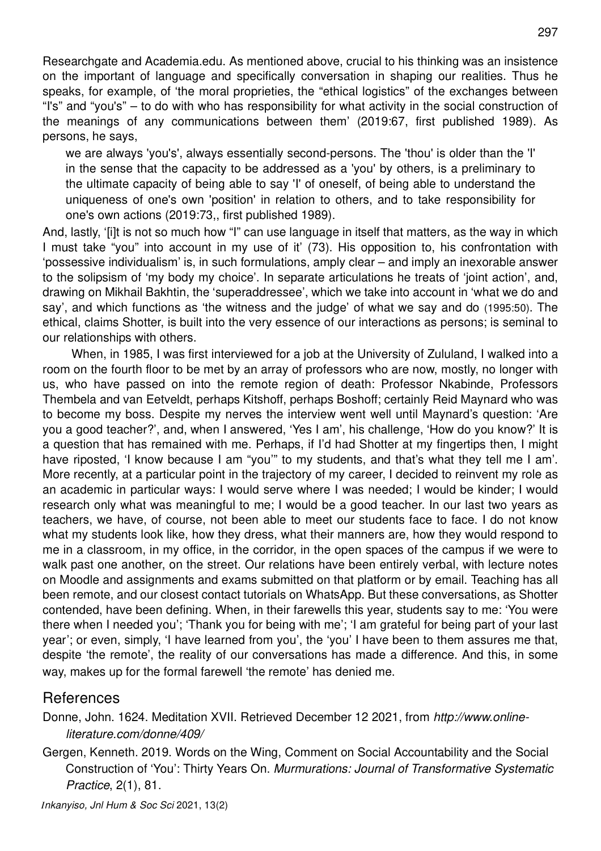Researchgate and Academia.edu. As mentioned above, crucial to his thinking was an insistence on the important of language and specifically conversation in shaping our realities. Thus he speaks, for example, of 'the moral proprieties, the "ethical logistics" of the exchanges between "I's" and "you's" – to do with who has responsibility for what activity in the social construction of the meanings of any communications between them' (2019:67, first published 1989). As persons, he says,

we are always 'you's', always essentially second-persons. The 'thou' is older than the 'I' in the sense that the capacity to be addressed as a 'you' by others, is a preliminary to the ultimate capacity of being able to say 'I' of oneself, of being able to understand the uniqueness of one's own 'position' in relation to others, and to take responsibility for one's own actions (2019:73,, first published 1989).

And, lastly, '[i]t is not so much how "I" can use language in itself that matters, as the way in which I must take "you" into account in my use of it' (73). His opposition to, his confrontation with 'possessive individualism' is, in such formulations, amply clear – and imply an inexorable answer to the solipsism of 'my body my choice'. In separate articulations he treats of 'joint action', and, drawing on Mikhail Bakhtin, the 'superaddressee', which we take into account in 'what we do and say', and which functions as 'the witness and the judge' of what we say and do (1995:50). The ethical, claims Shotter, is built into the very essence of our interactions as persons; is seminal to our relationships with others.

When, in 1985, I was first interviewed for a job at the University of Zululand, I walked into a room on the fourth floor to be met by an array of professors who are now, mostly, no longer with us, who have passed on into the remote region of death: Professor Nkabinde, Professors Thembela and van Eetveldt, perhaps Kitshoff, perhaps Boshoff; certainly Reid Maynard who was to become my boss. Despite my nerves the interview went well until Maynard's question: 'Are you a good teacher?', and, when I answered, 'Yes I am', his challenge, 'How do you know?' It is a question that has remained with me. Perhaps, if I'd had Shotter at my fingertips then, I might have riposted, 'I know because I am "you" to my students, and that's what they tell me I am'. More recently, at a particular point in the trajectory of my career, I decided to reinvent my role as an academic in particular ways: I would serve where I was needed; I would be kinder; I would research only what was meaningful to me; I would be a good teacher. In our last two years as teachers, we have, of course, not been able to meet our students face to face. I do not know what my students look like, how they dress, what their manners are, how they would respond to me in a classroom, in my office, in the corridor, in the open spaces of the campus if we were to walk past one another, on the street. Our relations have been entirely verbal, with lecture notes on Moodle and assignments and exams submitted on that platform or by email. Teaching has all been remote, and our closest contact tutorials on WhatsApp. But these conversations, as Shotter contended, have been defining. When, in their farewells this year, students say to me: 'You were there when I needed you'; 'Thank you for being with me'; 'I am grateful for being part of your last year'; or even, simply, 'I have learned from you', the 'you' I have been to them assures me that, despite 'the remote', the reality of our conversations has made a difference. And this, in some way, makes up for the formal farewell 'the remote' has denied me.

## References

Donne, John. 1624. Meditation XVII. Retrieved December 12 2021, from *http://www.onlineliterature.com/donne/409/* 

Gergen, Kenneth. 2019. Words on the Wing, Comment on Social Accountability and the Social Construction of 'You': Thirty Years On. *Murmurations: Journal of Transformative Systematic Practice*, 2(1), 81.